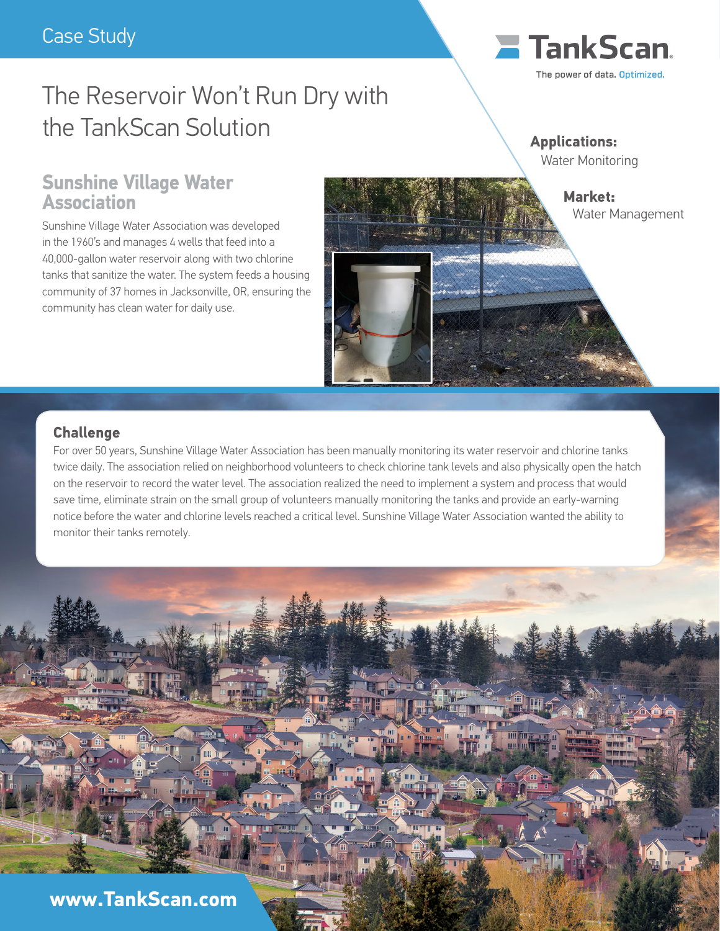# The Reservoir Won't Run Dry with the TankScan Solution

## **E** TankScan The power of data, Optimized.

**Applications:** Water Monitoring

## **Sunshine Village Water Association**

Sunshine Village Water Association was developed in the 1960's and manages 4 wells that feed into a 40,000-gallon water reservoir along with two chlorine tanks that sanitize the water. The system feeds a housing community of 37 homes in Jacksonville, OR, ensuring the community has clean water for daily use.



### **Challenge**

For over 50 years, Sunshine Village Water Association has been manually monitoring its water reservoir and chlorine tanks twice daily. The association relied on neighborhood volunteers to check chlorine tank levels and also physically open the hatch on the reservoir to record the water level. The association realized the need to implement a system and process that would save time, eliminate strain on the small group of volunteers manually monitoring the tanks and provide an early-warning notice before the water and chlorine levels reached a critical level. Sunshine Village Water Association wanted the ability to monitor their tanks remotely.